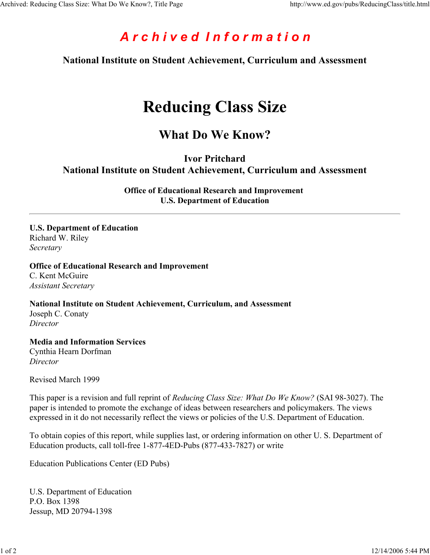# *A r c h i v e d I n f o r m a t i o n*

**National Institute on Student Achievement, Curriculum and Assessment**

# **Reducing Class Size**

### **What Do We Know?**

**Ivor Pritchard**

**National Institute on Student Achievement, Curriculum and Assessment**

**Office of Educational Research and Improvement U.S. Department of Education**

**U.S. Department of Education** Richard W. Riley *Secretary*

#### **Office of Educational Research and Improvement**

C. Kent McGuire *Assistant Secretary*

**National Institute on Student Achievement, Curriculum, and Assessment** Joseph C. Conaty *Director*

**Media and Information Services** Cynthia Hearn Dorfman *Director*

Revised March 1999

This paper is a revision and full reprint of *Reducing Class Size: What Do We Know?* (SAI 98-3027). The paper is intended to promote the exchange of ideas between researchers and policymakers. The views expressed in it do not necessarily reflect the views or policies of the U.S. Department of Education.

To obtain copies of this report, while supplies last, or ordering information on other U. S. Department of Education products, call toll-free 1-877-4ED-Pubs (877-433-7827) or write

Education Publications Center (ED Pubs)

U.S. Department of Education P.O. Box 1398 Jessup, MD 20794-1398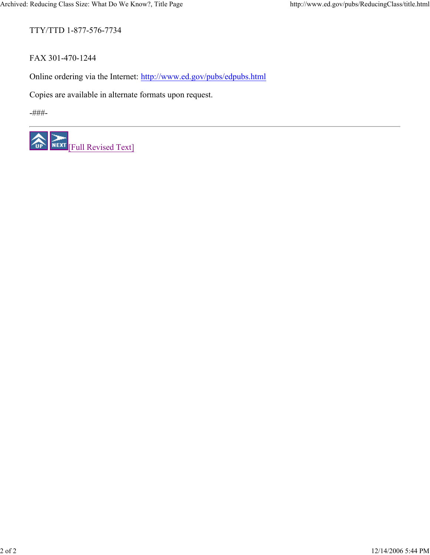TTY/TTD 1-877-576-7734

FAX 301-470-1244

Online ordering via the Internet: http://www.ed.gov/pubs/edpubs.html

Copies are available in alternate formats upon request.

-###-

一个 NEXT Full Revised Text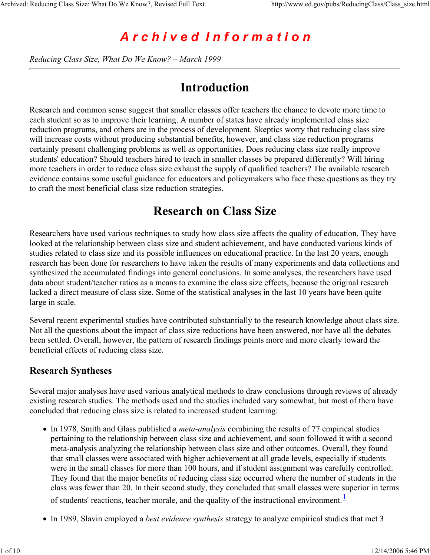# *A r c h i v e d I n f o r m a t i o n*

*Reducing Class Size, What Do We Know? – March 1999*

### **Introduction**

Research and common sense suggest that smaller classes offer teachers the chance to devote more time to each student so as to improve their learning. A number of states have already implemented class size reduction programs, and others are in the process of development. Skeptics worry that reducing class size will increase costs without producing substantial benefits, however, and class size reduction programs certainly present challenging problems as well as opportunities. Does reducing class size really improve students' education? Should teachers hired to teach in smaller classes be prepared differently? Will hiring more teachers in order to reduce class size exhaust the supply of qualified teachers? The available research evidence contains some useful guidance for educators and policymakers who face these questions as they try to craft the most beneficial class size reduction strategies.

### **Research on Class Size**

Researchers have used various techniques to study how class size affects the quality of education. They have looked at the relationship between class size and student achievement, and have conducted various kinds of studies related to class size and its possible influences on educational practice. In the last 20 years, enough research has been done for researchers to have taken the results of many experiments and data collections and synthesized the accumulated findings into general conclusions. In some analyses, the researchers have used data about student/teacher ratios as a means to examine the class size effects, because the original research lacked a direct measure of class size. Some of the statistical analyses in the last 10 years have been quite large in scale.

Several recent experimental studies have contributed substantially to the research knowledge about class size. Not all the questions about the impact of class size reductions have been answered, nor have all the debates been settled. Overall, however, the pattern of research findings points more and more clearly toward the beneficial effects of reducing class size.

#### **Research Syntheses**

Several major analyses have used various analytical methods to draw conclusions through reviews of already existing research studies. The methods used and the studies included vary somewhat, but most of them have concluded that reducing class size is related to increased student learning:

- In 1978, Smith and Glass published a *meta-analysis* combining the results of 77 empirical studies pertaining to the relationship between class size and achievement, and soon followed it with a second meta-analysis analyzing the relationship between class size and other outcomes. Overall, they found that small classes were associated with higher achievement at all grade levels, especially if students were in the small classes for more than 100 hours, and if student assignment was carefully controlled. They found that the major benefits of reducing class size occurred where the number of students in the class was fewer than 20. In their second study, they concluded that small classes were superior in terms of students' reactions, teacher morale, and the quality of the instructional environment. $\frac{1}{\sqrt{1}}$
- In 1989, Slavin employed a *best evidence synthesis* strategy to analyze empirical studies that met 3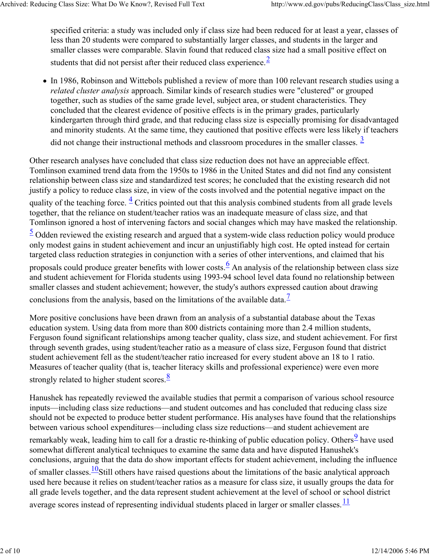specified criteria: a study was included only if class size had been reduced for at least a year, classes of less than 20 students were compared to substantially larger classes, and students in the larger and smaller classes were comparable. Slavin found that reduced class size had a small positive effect on students that did not persist after their reduced class experience.  $\frac{2}{3}$ 

In 1986, Robinson and Wittebols published a review of more than 100 relevant research studies using a *related cluster analysis* approach. Similar kinds of research studies were "clustered" or grouped together, such as studies of the same grade level, subject area, or student characteristics. They concluded that the clearest evidence of positive effects is in the primary grades, particularly kindergarten through third grade, and that reducing class size is especially promising for disadvantaged and minority students. At the same time, they cautioned that positive effects were less likely if teachers did not change their instructional methods and classroom procedures in the smaller classes.  $\frac{3}{2}$ 

Other research analyses have concluded that class size reduction does not have an appreciable effect. Tomlinson examined trend data from the 1950s to 1986 in the United States and did not find any consistent relationship between class size and standardized test scores; he concluded that the existing research did not justify a policy to reduce class size, in view of the costs involved and the potential negative impact on the quality of the teaching force.  $\frac{4}{3}$  Critics pointed out that this analysis combined students from all grade levels together, that the reliance on student/teacher ratios was an inadequate measure of class size, and that Tomlinson ignored a host of intervening factors and social changes which may have masked the relationship.

 $\frac{5}{2}$  Odden reviewed the existing research and argued that a system-wide class reduction policy would produce only modest gains in student achievement and incur an unjustifiably high cost. He opted instead for certain targeted class reduction strategies in conjunction with a series of other interventions, and claimed that his

proposals could produce greater benefits with lower costs.  $\frac{6}{5}$  An analysis of the relationship between class size and student achievement for Florida students using 1993-94 school level data found no relationship between smaller classes and student achievement; however, the study's authors expressed caution about drawing

conclusions from the analysis, based on the limitations of the available data.<sup>7</sup>

More positive conclusions have been drawn from an analysis of a substantial database about the Texas education system. Using data from more than 800 districts containing more than 2.4 million students, Ferguson found significant relationships among teacher quality, class size, and student achievement. For first through seventh grades, using student/teacher ratio as a measure of class size, Ferguson found that district student achievement fell as the student/teacher ratio increased for every student above an 18 to 1 ratio. Measures of teacher quality (that is, teacher literacy skills and professional experience) were even more strongly related to higher student scores. $\frac{8}{3}$ 

Hanushek has repeatedly reviewed the available studies that permit a comparison of various school resource inputs—including class size reductions—and student outcomes and has concluded that reducing class size should not be expected to produce better student performance. His analyses have found that the relationships between various school expenditures—including class size reductions—and student achievement are remarkably weak, leading him to call for a drastic re-thinking of public education policy. Others<sup>9</sup> have used somewhat different analytical techniques to examine the same data and have disputed Hanushek's conclusions, arguing that the data do show important effects for student achievement, including the influence of smaller classes. $\frac{10}{10}$ Still others have raised questions about the limitations of the basic analytical approach used here because it relies on student/teacher ratios as a measure for class size, it usually groups the data for all grade levels together, and the data represent student achievement at the level of school or school district average scores instead of representing individual students placed in larger or smaller classes.  $\frac{11}{12}$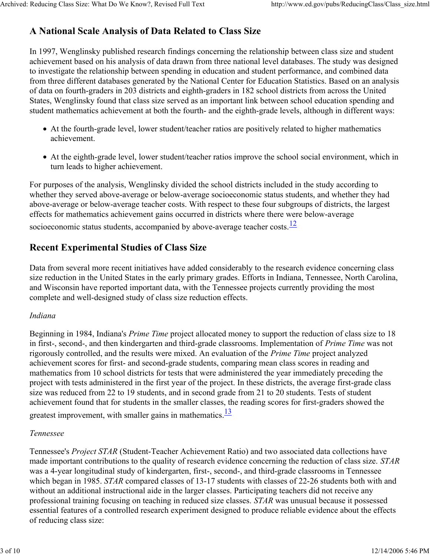### **A National Scale Analysis of Data Related to Class Size**

In 1997, Wenglinsky published research findings concerning the relationship between class size and student achievement based on his analysis of data drawn from three national level databases. The study was designed to investigate the relationship between spending in education and student performance, and combined data from three different databases generated by the National Center for Education Statistics. Based on an analysis of data on fourth-graders in 203 districts and eighth-graders in 182 school districts from across the United States, Wenglinsky found that class size served as an important link between school education spending and student mathematics achievement at both the fourth- and the eighth-grade levels, although in different ways:

- At the fourth-grade level, lower student/teacher ratios are positively related to higher mathematics achievement.
- At the eighth-grade level, lower student/teacher ratios improve the school social environment, which in turn leads to higher achievement.

For purposes of the analysis, Wenglinsky divided the school districts included in the study according to whether they served above-average or below-average socioeconomic status students, and whether they had above-average or below-average teacher costs. With respect to these four subgroups of districts, the largest effects for mathematics achievement gains occurred in districts where there were below-average socioeconomic status students, accompanied by above-average teacher costs. $\frac{12}{12}$ 

### **Recent Experimental Studies of Class Size**

Data from several more recent initiatives have added considerably to the research evidence concerning class size reduction in the United States in the early primary grades. Efforts in Indiana, Tennessee, North Carolina, and Wisconsin have reported important data, with the Tennessee projects currently providing the most complete and well-designed study of class size reduction effects.

#### *Indiana*

Beginning in 1984, Indiana's *Prime Time* project allocated money to support the reduction of class size to 18 in first-, second-, and then kindergarten and third-grade classrooms. Implementation of *Prime Time* was not rigorously controlled, and the results were mixed. An evaluation of the *Prime Time* project analyzed achievement scores for first- and second-grade students, comparing mean class scores in reading and mathematics from 10 school districts for tests that were administered the year immediately preceding the project with tests administered in the first year of the project. In these districts, the average first-grade class size was reduced from 22 to 19 students, and in second grade from 21 to 20 students. Tests of student achievement found that for students in the smaller classes, the reading scores for first-graders showed the greatest improvement, with smaller gains in mathematics. $\frac{13}{12}$ 

#### *Tennessee*

Tennessee's *Project STAR* (Student-Teacher Achievement Ratio) and two associated data collections have made important contributions to the quality of research evidence concerning the reduction of class size. *STAR* was a 4-year longitudinal study of kindergarten, first-, second-, and third-grade classrooms in Tennessee which began in 1985. *STAR* compared classes of 13-17 students with classes of 22-26 students both with and without an additional instructional aide in the larger classes. Participating teachers did not receive any professional training focusing on teaching in reduced size classes. *STAR* was unusual because it possessed essential features of a controlled research experiment designed to produce reliable evidence about the effects of reducing class size: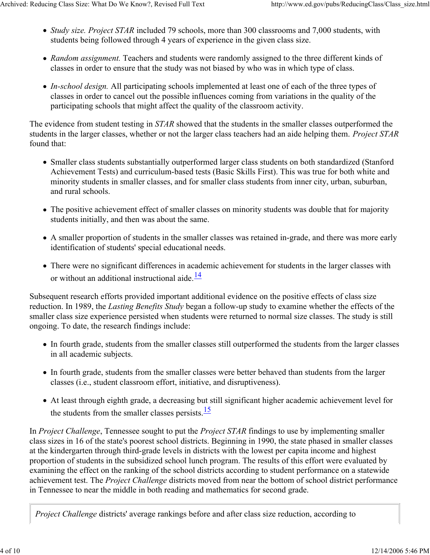- *Study size. Project STAR* included 79 schools, more than 300 classrooms and 7,000 students, with students being followed through 4 years of experience in the given class size.
- *Random assignment.* Teachers and students were randomly assigned to the three different kinds of classes in order to ensure that the study was not biased by who was in which type of class.
- *In-school design.* All participating schools implemented at least one of each of the three types of classes in order to cancel out the possible influences coming from variations in the quality of the participating schools that might affect the quality of the classroom activity.

The evidence from student testing in *STAR* showed that the students in the smaller classes outperformed the students in the larger classes, whether or not the larger class teachers had an aide helping them. *Project STAR* found that:

- Smaller class students substantially outperformed larger class students on both standardized (Stanford Achievement Tests) and curriculum-based tests (Basic Skills First). This was true for both white and minority students in smaller classes, and for smaller class students from inner city, urban, suburban, and rural schools.
- The positive achievement effect of smaller classes on minority students was double that for majority students initially, and then was about the same.
- A smaller proportion of students in the smaller classes was retained in-grade, and there was more early identification of students' special educational needs.
- There were no significant differences in academic achievement for students in the larger classes with or without an additional instructional aide. $\frac{14}{1}$

Subsequent research efforts provided important additional evidence on the positive effects of class size reduction. In 1989, the *Lasting Benefits Study* began a follow-up study to examine whether the effects of the smaller class size experience persisted when students were returned to normal size classes. The study is still ongoing. To date, the research findings include:

- In fourth grade, students from the smaller classes still outperformed the students from the larger classes in all academic subjects.
- In fourth grade, students from the smaller classes were better behaved than students from the larger classes (i.e., student classroom effort, initiative, and disruptiveness).
- At least through eighth grade, a decreasing but still significant higher academic achievement level for the students from the smaller classes persists. $\frac{15}{15}$

In *Project Challenge*, Tennessee sought to put the *Project STAR* findings to use by implementing smaller class sizes in 16 of the state's poorest school districts. Beginning in 1990, the state phased in smaller classes at the kindergarten through third-grade levels in districts with the lowest per capita income and highest proportion of students in the subsidized school lunch program. The results of this effort were evaluated by examining the effect on the ranking of the school districts according to student performance on a statewide achievement test. The *Project Challenge* districts moved from near the bottom of school district performance in Tennessee to near the middle in both reading and mathematics for second grade.

*Project Challenge* districts' average rankings before and after class size reduction, according to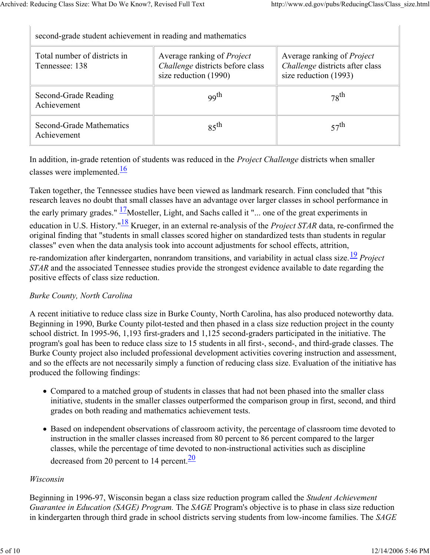| second-grade student achievement in reading and mathematics |                                                                                                |                                                                                               |
|-------------------------------------------------------------|------------------------------------------------------------------------------------------------|-----------------------------------------------------------------------------------------------|
| Total number of districts in<br>Tennessee: 138              | Average ranking of <i>Project</i><br>Challenge districts before class<br>size reduction (1990) | Average ranking of <i>Project</i><br>Challenge districts after class<br>size reduction (1993) |
| Second-Grade Reading<br>Achievement                         | <sub>99th</sub>                                                                                | $78$ <sup>th</sup>                                                                            |
| Second-Grade Mathematics<br>Achievement                     | $85$ <sup>th</sup>                                                                             | $57$ <sup>th</sup>                                                                            |
|                                                             |                                                                                                |                                                                                               |

In addition, in-grade retention of students was reduced in the *Project Challenge* districts when smaller classes were implemented. $\frac{16}{16}$ 

Taken together, the Tennessee studies have been viewed as landmark research. Finn concluded that "this research leaves no doubt that small classes have an advantage over larger classes in school performance in the early primary grades."  $\frac{17}{2}$ Mosteller, Light, and Sachs called it "... one of the great experiments in education in U.S. History."<sup>18</sup> Krueger, in an external re-analysis of the *Project STAR* data, re-confirmed the original finding that "students in small classes scored higher on standardized tests than students in regular classes" even when the data analysis took into account adjustments for school effects, attrition,

re-randomization after kindergarten, nonrandom transitions, and variability in actual class size.<sup>19</sup> *Project STAR* and the associated Tennessee studies provide the strongest evidence available to date regarding the positive effects of class size reduction.

#### *Burke County, North Carolina*

A recent initiative to reduce class size in Burke County, North Carolina, has also produced noteworthy data. Beginning in 1990, Burke County pilot-tested and then phased in a class size reduction project in the county school district. In 1995-96, 1,193 first-graders and 1,125 second-graders participated in the initiative. The program's goal has been to reduce class size to 15 students in all first-, second-, and third-grade classes. The Burke County project also included professional development activities covering instruction and assessment, and so the effects are not necessarily simply a function of reducing class size. Evaluation of the initiative has produced the following findings:

- Compared to a matched group of students in classes that had not been phased into the smaller class initiative, students in the smaller classes outperformed the comparison group in first, second, and third grades on both reading and mathematics achievement tests.
- Based on independent observations of classroom activity, the percentage of classroom time devoted to instruction in the smaller classes increased from 80 percent to 86 percent compared to the larger classes, while the percentage of time devoted to non-instructional activities such as discipline

decreased from 20 percent to 14 percent. $\frac{20}{20}$ 

#### *Wisconsin*

Beginning in 1996-97, Wisconsin began a class size reduction program called the *Student Achievement Guarantee in Education (SAGE) Program.* The *SAGE* Program's objective is to phase in class size reduction in kindergarten through third grade in school districts serving students from low-income families. The *SAGE*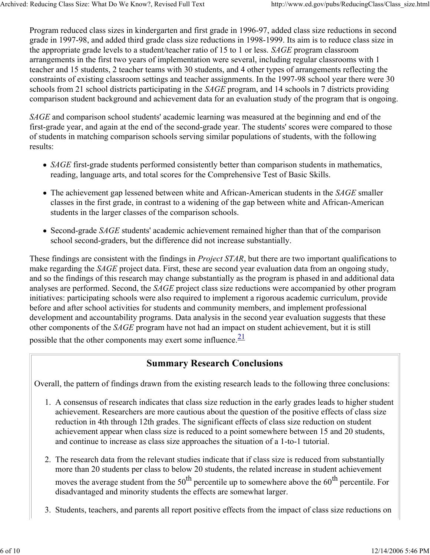Program reduced class sizes in kindergarten and first grade in 1996-97, added class size reductions in second grade in 1997-98, and added third grade class size reductions in 1998-1999. Its aim is to reduce class size in the appropriate grade levels to a student/teacher ratio of 15 to 1 or less. *SAGE* program classroom arrangements in the first two years of implementation were several, including regular classrooms with 1 teacher and 15 students, 2 teacher teams with 30 students, and 4 other types of arrangements reflecting the constraints of existing classroom settings and teacher assignments. In the 1997-98 school year there were 30 schools from 21 school districts participating in the *SAGE* program, and 14 schools in 7 districts providing comparison student background and achievement data for an evaluation study of the program that is ongoing.

*SAGE* and comparison school students' academic learning was measured at the beginning and end of the first-grade year, and again at the end of the second-grade year. The students' scores were compared to those of students in matching comparison schools serving similar populations of students, with the following results:

- *SAGE* first-grade students performed consistently better than comparison students in mathematics, reading, language arts, and total scores for the Comprehensive Test of Basic Skills.
- The achievement gap lessened between white and African-American students in the *SAGE* smaller classes in the first grade, in contrast to a widening of the gap between white and African-American students in the larger classes of the comparison schools.
- Second-grade *SAGE* students' academic achievement remained higher than that of the comparison school second-graders, but the difference did not increase substantially.

These findings are consistent with the findings in *Project STAR*, but there are two important qualifications to make regarding the *SAGE* project data. First, these are second year evaluation data from an ongoing study, and so the findings of this research may change substantially as the program is phased in and additional data analyses are performed. Second, the *SAGE* project class size reductions were accompanied by other program initiatives: participating schools were also required to implement a rigorous academic curriculum, provide before and after school activities for students and community members, and implement professional development and accountability programs. Data analysis in the second year evaluation suggests that these other components of the *SAGE* program have not had an impact on student achievement, but it is still possible that the other components may exert some influence. $\frac{21}{2}$ 

#### **Summary Research Conclusions**

Overall, the pattern of findings drawn from the existing research leads to the following three conclusions:

- A consensus of research indicates that class size reduction in the early grades leads to higher student 1. achievement. Researchers are more cautious about the question of the positive effects of class size reduction in 4th through 12th grades. The significant effects of class size reduction on student achievement appear when class size is reduced to a point somewhere between 15 and 20 students, and continue to increase as class size approaches the situation of a 1-to-1 tutorial.
- 2. The research data from the relevant studies indicate that if class size is reduced from substantially more than 20 students per class to below 20 students, the related increase in student achievement moves the average student from the  $50<sup>th</sup>$  percentile up to somewhere above the  $60<sup>th</sup>$  percentile. For disadvantaged and minority students the effects are somewhat larger.
- 3. Students, teachers, and parents all report positive effects from the impact of class size reductions on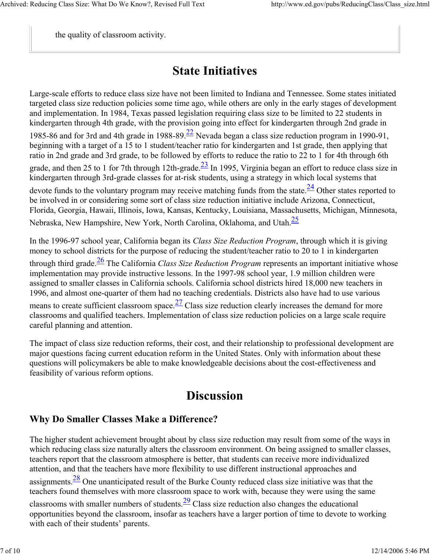the quality of classroom activity.

# **State Initiatives**

Large-scale efforts to reduce class size have not been limited to Indiana and Tennessee. Some states initiated targeted class size reduction policies some time ago, while others are only in the early stages of development and implementation. In 1984, Texas passed legislation requiring class size to be limited to 22 students in kindergarten through 4th grade, with the provision going into effect for kindergarten through 2nd grade in 1985-86 and for 3rd and 4th grade in 1988-89. $\frac{22}{5}$  Nevada began a class size reduction program in 1990-91, beginning with a target of a 15 to 1 student/teacher ratio for kindergarten and 1st grade, then applying that ratio in 2nd grade and 3rd grade, to be followed by efforts to reduce the ratio to 22 to 1 for 4th through 6th grade, and then 25 to 1 for 7th through 12th-grade. $\frac{23}{1}$  In 1995, Virginia began an effort to reduce class size in kindergarten through 3rd-grade classes for at-risk students, using a strategy in which local systems that devote funds to the voluntary program may receive matching funds from the state. $\frac{24}{3}$  Other states reported to be involved in or considering some sort of class size reduction initiative include Arizona, Connecticut, Florida, Georgia, Hawaii, Illinois, Iowa, Kansas, Kentucky, Louisiana, Massachusetts, Michigan, Minnesota, Nebraska, New Hampshire, New York, North Carolina, Oklahoma, and Utah.25

In the 1996-97 school year, California began its *Class Size Reduction Program*, through which it is giving money to school districts for the purpose of reducing the student/teacher ratio to 20 to 1 in kindergarten through third grade.26 The California *Class Size Reduction Program* represents an important initiative whose implementation may provide instructive lessons. In the 1997-98 school year, 1.9 million children were assigned to smaller classes in California schools. California school districts hired 18,000 new teachers in 1996, and almost one-quarter of them had no teaching credentials. Districts also have had to use various means to create sufficient classroom space. $\frac{27}{27}$  Class size reduction clearly increases the demand for more classrooms and qualified teachers. Implementation of class size reduction policies on a large scale require careful planning and attention.

The impact of class size reduction reforms, their cost, and their relationship to professional development are major questions facing current education reform in the United States. Only with information about these questions will policymakers be able to make knowledgeable decisions about the cost-effectiveness and feasibility of various reform options.

## **Discussion**

### **Why Do Smaller Classes Make a Difference?**

The higher student achievement brought about by class size reduction may result from some of the ways in which reducing class size naturally alters the classroom environment. On being assigned to smaller classes, teachers report that the classroom atmosphere is better, that students can receive more individualized attention, and that the teachers have more flexibility to use different instructional approaches and assignments. $\frac{28}{3}$  One unanticipated result of the Burke County reduced class size initiative was that the teachers found themselves with more classroom space to work with, because they were using the same classrooms with smaller numbers of students.  $\frac{29}{2}$  Class size reduction also changes the educational opportunities beyond the classroom, insofar as teachers have a larger portion of time to devote to working with each of their students' parents.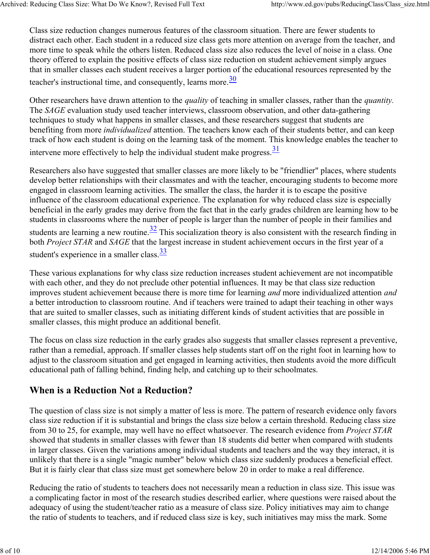Class size reduction changes numerous features of the classroom situation. There are fewer students to distract each other. Each student in a reduced size class gets more attention on average from the teacher, and more time to speak while the others listen. Reduced class size also reduces the level of noise in a class. One theory offered to explain the positive effects of class size reduction on student achievement simply argues that in smaller classes each student receives a larger portion of the educational resources represented by the teacher's instructional time, and consequently, learns more.  $\frac{30}{20}$ 

Other researchers have drawn attention to the *quality* of teaching in smaller classes, rather than the *quantity.* The *SAGE* evaluation study used teacher interviews, classroom observation, and other data-gathering techniques to study what happens in smaller classes, and these researchers suggest that students are benefiting from more *individualized* attention. The teachers know each of their students better, and can keep track of how each student is doing on the learning task of the moment. This knowledge enables the teacher to intervene more effectively to help the individual student make progress. $\frac{31}{31}$ 

Researchers also have suggested that smaller classes are more likely to be "friendlier" places, where students develop better relationships with their classmates and with the teacher, encouraging students to become more engaged in classroom learning activities. The smaller the class, the harder it is to escape the positive influence of the classroom educational experience. The explanation for why reduced class size is especially beneficial in the early grades may derive from the fact that in the early grades children are learning how to be students in classrooms where the number of people is larger than the number of people in their families and students are learning a new routine.  $\frac{32}{2}$  This socialization theory is also consistent with the research finding in both *Project STAR* and *SAGE* that the largest increase in student achievement occurs in the first year of a student's experience in a smaller class.  $\frac{33}{5}$ 

These various explanations for why class size reduction increases student achievement are not incompatible with each other, and they do not preclude other potential influences. It may be that class size reduction improves student achievement because there is more time for learning *and* more individualized attention *and* a better introduction to classroom routine. And if teachers were trained to adapt their teaching in other ways that are suited to smaller classes, such as initiating different kinds of student activities that are possible in smaller classes, this might produce an additional benefit.

The focus on class size reduction in the early grades also suggests that smaller classes represent a preventive, rather than a remedial, approach. If smaller classes help students start off on the right foot in learning how to adjust to the classroom situation and get engaged in learning activities, then students avoid the more difficult educational path of falling behind, finding help, and catching up to their schoolmates.

### **When is a Reduction Not a Reduction?**

The question of class size is not simply a matter of less is more. The pattern of research evidence only favors class size reduction if it is substantial and brings the class size below a certain threshold. Reducing class size from 30 to 25, for example, may well have no effect whatsoever. The research evidence from *Project STAR* showed that students in smaller classes with fewer than 18 students did better when compared with students in larger classes. Given the variations among individual students and teachers and the way they interact, it is unlikely that there is a single "magic number" below which class size suddenly produces a beneficial effect. But it is fairly clear that class size must get somewhere below 20 in order to make a real difference.

Reducing the ratio of students to teachers does not necessarily mean a reduction in class size. This issue was a complicating factor in most of the research studies described earlier, where questions were raised about the adequacy of using the student/teacher ratio as a measure of class size. Policy initiatives may aim to change the ratio of students to teachers, and if reduced class size is key, such initiatives may miss the mark. Some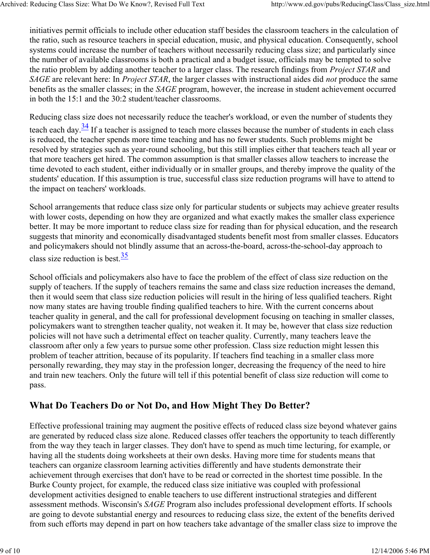initiatives permit officials to include other education staff besides the classroom teachers in the calculation of the ratio, such as resource teachers in special education, music, and physical education. Consequently, school systems could increase the number of teachers without necessarily reducing class size; and particularly since the number of available classrooms is both a practical and a budget issue, officials may be tempted to solve the ratio problem by adding another teacher to a larger class. The research findings from *Project STAR* and *SAGE* are relevant here: In *Project STAR*, the larger classes with instructional aides did *not* produce the same benefits as the smaller classes; in the *SAGE* program, however, the increase in student achievement occurred in both the 15:1 and the 30:2 student/teacher classrooms.

Reducing class size does not necessarily reduce the teacher's workload, or even the number of students they teach each day. $\frac{34}{1}$  If a teacher is assigned to teach more classes because the number of students in each class is reduced, the teacher spends more time teaching and has no fewer students. Such problems might be resolved by strategies such as year-round schooling, but this still implies either that teachers teach all year or that more teachers get hired. The common assumption is that smaller classes allow teachers to increase the time devoted to each student, either individually or in smaller groups, and thereby improve the quality of the students' education. If this assumption is true, successful class size reduction programs will have to attend to the impact on teachers' workloads.

School arrangements that reduce class size only for particular students or subjects may achieve greater results with lower costs, depending on how they are organized and what exactly makes the smaller class experience better. It may be more important to reduce class size for reading than for physical education, and the research suggests that minority and economically disadvantaged students benefit most from smaller classes. Educators and policymakers should not blindly assume that an across-the-board, across-the-school-day approach to class size reduction is best.  $\frac{35}{3}$ 

School officials and policymakers also have to face the problem of the effect of class size reduction on the supply of teachers. If the supply of teachers remains the same and class size reduction increases the demand, then it would seem that class size reduction policies will result in the hiring of less qualified teachers. Right now many states are having trouble finding qualified teachers to hire. With the current concerns about teacher quality in general, and the call for professional development focusing on teaching in smaller classes, policymakers want to strengthen teacher quality, not weaken it. It may be, however that class size reduction policies will not have such a detrimental effect on teacher quality. Currently, many teachers leave the classroom after only a few years to pursue some other profession. Class size reduction might lessen this problem of teacher attrition, because of its popularity. If teachers find teaching in a smaller class more personally rewarding, they may stay in the profession longer, decreasing the frequency of the need to hire and train new teachers. Only the future will tell if this potential benefit of class size reduction will come to pass.

### **What Do Teachers Do or Not Do, and How Might They Do Better?**

Effective professional training may augment the positive effects of reduced class size beyond whatever gains are generated by reduced class size alone. Reduced classes offer teachers the opportunity to teach differently from the way they teach in larger classes. They don't have to spend as much time lecturing, for example, or having all the students doing worksheets at their own desks. Having more time for students means that teachers can organize classroom learning activities differently and have students demonstrate their achievement through exercises that don't have to be read or corrected in the shortest time possible. In the Burke County project, for example, the reduced class size initiative was coupled with professional development activities designed to enable teachers to use different instructional strategies and different assessment methods. Wisconsin's *SAGE* Program also includes professional development efforts. If schools are going to devote substantial energy and resources to reducing class size, the extent of the benefits derived from such efforts may depend in part on how teachers take advantage of the smaller class size to improve the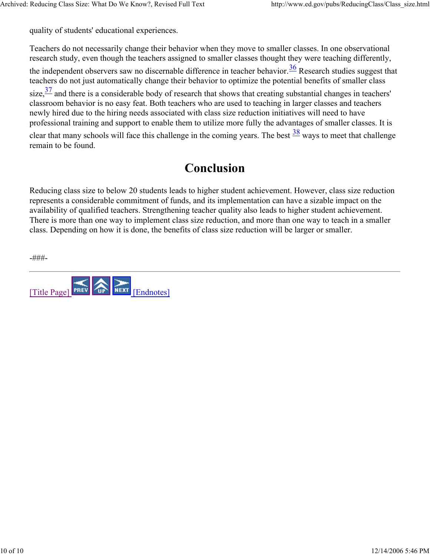quality of students' educational experiences.

Teachers do not necessarily change their behavior when they move to smaller classes. In one observational research study, even though the teachers assigned to smaller classes thought they were teaching differently, the independent observers saw no discernable difference in teacher behavior.  $\frac{36}{10}$  Research studies suggest that teachers do not just automatically change their behavior to optimize the potential benefits of smaller class size, $\frac{37}{1}$  and there is a considerable body of research that shows that creating substantial changes in teachers' classroom behavior is no easy feat. Both teachers who are used to teaching in larger classes and teachers newly hired due to the hiring needs associated with class size reduction initiatives will need to have

professional training and support to enable them to utilize more fully the advantages of smaller classes. It is clear that many schools will face this challenge in the coming years. The best  $\frac{38}{3}$  ways to meet that challenge remain to be found.

## **Conclusion**

Reducing class size to below 20 students leads to higher student achievement. However, class size reduction represents a considerable commitment of funds, and its implementation can have a sizable impact on the availability of qualified teachers. Strengthening teacher quality also leads to higher student achievement. There is more than one way to implement class size reduction, and more than one way to teach in a smaller class. Depending on how it is done, the benefits of class size reduction will be larger or smaller.

-###-

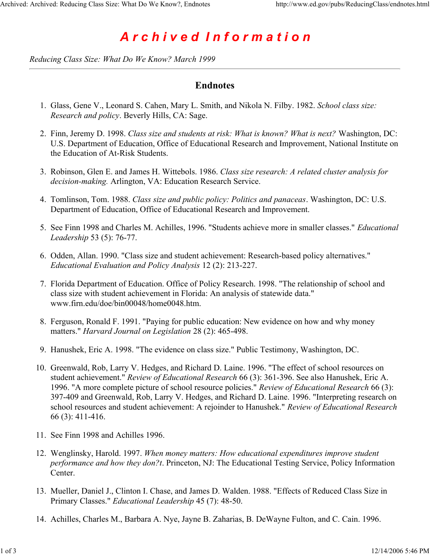# *A r c h i v e d I n f o r m a t i o n*

*Reducing Class Size: What Do We Know? March 1999*

#### **Endnotes**

- Glass, Gene V., Leonard S. Cahen, Mary L. Smith, and Nikola N. Filby. 1982. *School class size:*  1. *Research and policy*. Beverly Hills, CA: Sage.
- 2. Finn, Jeremy D. 1998. *Class size and students at risk: What is known? What is next?* Washington, DC: U.S. Department of Education, Office of Educational Research and Improvement, National Institute on the Education of At-Risk Students.
- Robinson, Glen E. and James H. Wittebols. 1986. *Class size research: A related cluster analysis for*  3. *decision-making.* Arlington, VA: Education Research Service.
- Tomlinson, Tom. 1988. *Class size and public policy: Politics and panaceas*. Washington, DC: U.S. 4. Department of Education, Office of Educational Research and Improvement.
- 5. See Finn 1998 and Charles M. Achilles, 1996. "Students achieve more in smaller classes." *Educational Leadership* 53 (5): 76-77.
- 6. Odden, Allan. 1990. "Class size and student achievement: Research-based policy alternatives." *Educational Evaluation and Policy Analysis* 12 (2): 213-227.
- 7. Florida Department of Education. Office of Policy Research. 1998. "The relationship of school and class size with student achievement in Florida: An analysis of statewide data." www.firn.edu/doe/bin00048/home0048.htm.
- 8. Ferguson, Ronald F. 1991. "Paying for public education: New evidence on how and why money matters." *Harvard Journal on Legislation* 28 (2): 465-498.
- 9. Hanushek, Eric A. 1998. "The evidence on class size." Public Testimony, Washington, DC.
- 10. Greenwald, Rob, Larry V. Hedges, and Richard D. Laine. 1996. "The effect of school resources on student achievement." *Review of Educational Research* 66 (3): 361-396. See also Hanushek, Eric A. 1996. "A more complete picture of school resource policies." *Review of Educational Research* 66 (3): 397-409 and Greenwald, Rob, Larry V. Hedges, and Richard D. Laine. 1996. "Interpreting research on school resources and student achievement: A rejoinder to Hanushek." *Review of Educational Research*  66 (3): 411-416.
- 11. See Finn 1998 and Achilles 1996.
- Wenglinsky, Harold. 1997. *When money matters: How educational expenditures improve student*  12. *performance and how they don?t*. Princeton, NJ: The Educational Testing Service, Policy Information Center.
- Mueller, Daniel J., Clinton I. Chase, and James D. Walden. 1988. "Effects of Reduced Class Size in 13. Primary Classes." *Educational Leadership* 45 (7): 48-50.
- 14. Achilles, Charles M., Barbara A. Nye, Jayne B. Zaharias, B. DeWayne Fulton, and C. Cain. 1996.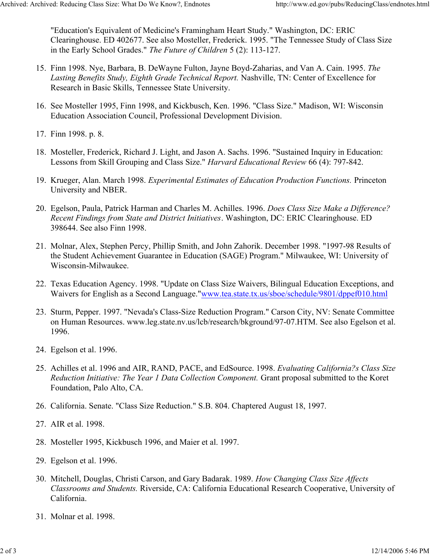"Education's Equivalent of Medicine's Framingham Heart Study." Washington, DC: ERIC Clearinghouse. ED 402677. See also Mosteller, Frederick. 1995. "The Tennessee Study of Class Size in the Early School Grades." *The Future of Children* 5 (2): 113-127.

- Finn 1998. Nye, Barbara, B. DeWayne Fulton, Jayne Boyd-Zaharias, and Van A. Cain. 1995. *The*  15. *Lasting Benefits Study, Eighth Grade Technical Report.* Nashville, TN: Center of Excellence for Research in Basic Skills, Tennessee State University.
- 16. See Mosteller 1995, Finn 1998, and Kickbusch, Ken. 1996. "Class Size." Madison, WI: Wisconsin Education Association Council, Professional Development Division.
- 17. Finn 1998. p. 8.
- 18. Mosteller, Frederick, Richard J. Light, and Jason A. Sachs. 1996. "Sustained Inquiry in Education: Lessons from Skill Grouping and Class Size." *Harvard Educational Review* 66 (4): 797-842.
- 19. Krueger, Alan. March 1998. Experimental Estimates of Education Production Functions. Princeton University and NBER.
- Egelson, Paula, Patrick Harman and Charles M. Achilles. 1996. *Does Class Size Make a Difference?* 20. *Recent Findings from State and District Initiatives*. Washington, DC: ERIC Clearinghouse. ED 398644. See also Finn 1998.
- 21. Molnar, Alex, Stephen Percy, Phillip Smith, and John Zahorik. December 1998. "1997-98 Results of the Student Achievement Guarantee in Education (SAGE) Program." Milwaukee, WI: University of Wisconsin-Milwaukee.
- 22. Texas Education Agency. 1998. "Update on Class Size Waivers, Bilingual Education Exceptions, and Waivers for English as a Second Language."www.tea.state.tx.us/sboe/schedule/9801/dppef010.html
- 23. Sturm, Pepper. 1997. "Nevada's Class-Size Reduction Program." Carson City, NV: Senate Committee on Human Resources. www.leg.state.nv.us/lcb/research/bkground/97-07.HTM. See also Egelson et al. 1996.
- 24. Egelson et al. 1996.
- Achilles et al. 1996 and AIR, RAND, PACE, and EdSource. 1998. *Evaluating California?s Class Size*  25. *Reduction Initiative: The Year 1 Data Collection Component.* Grant proposal submitted to the Koret Foundation, Palo Alto, CA.
- 26. California. Senate. "Class Size Reduction." S.B. 804. Chaptered August 18, 1997.
- 27. AIR et al. 1998.
- 28. Mosteller 1995, Kickbusch 1996, and Maier et al. 1997.
- 29. Egelson et al. 1996.
- Mitchell, Douglas, Christi Carson, and Gary Badarak. 1989. *How Changing Class Size Affects*  30. *Classrooms and Students.* Riverside, CA: California Educational Research Cooperative, University of California.
- 31. Molnar et al. 1998.